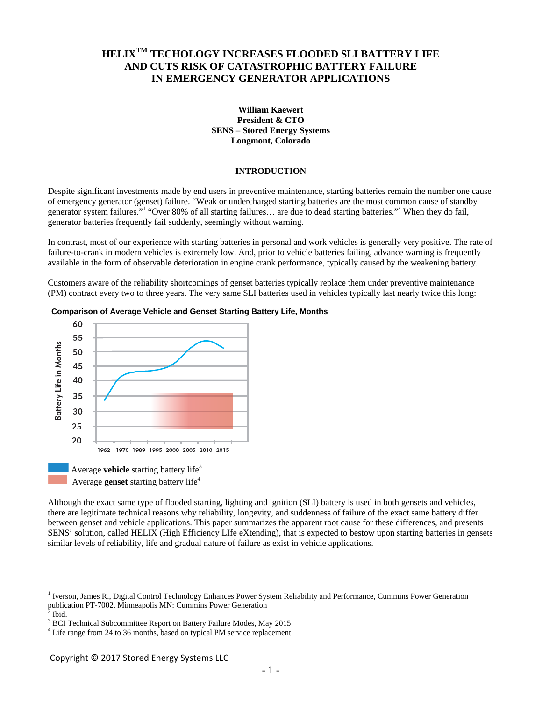# **HELIXTM TECHOLOGY INCREASES FLOODED SLI BATTERY LIFE AND CUTS RISK OF CATASTROPHIC BATTERY FAILURE IN EMERGENCY GENERATOR APPLICATIONS**

#### **William Kaewert President & CTO SENS – Stored Energy Systems Longmont, Colorado**

## **INTRODUCTION**

Despite significant investments made by end users in preventive maintenance, starting batteries remain the number one cause of emergency generator (genset) failure. "Weak or undercharged starting batteries are the most common cause of standby generator system failures."<sup>1</sup> "Over 80% of all starting failures... are due to dead starting batteries."<sup>2</sup> When they do fail, generator batteries frequently fail suddenly, seemingly without warning.

In contrast, most of our experience with starting batteries in personal and work vehicles is generally very positive. The rate of failure-to-crank in modern vehicles is extremely low. And, prior to vehicle batteries failing, advance warning is frequently available in the form of observable deterioration in engine crank performance, typically caused by the weakening battery.

Customers aware of the reliability shortcomings of genset batteries typically replace them under preventive maintenance (PM) contract every two to three years. The very same SLI batteries used in vehicles typically last nearly twice this long:



#### **Comparison of Average Vehicle and Genset Starting Battery Life, Months**

Although the exact same type of flooded starting, lighting and ignition (SLI) battery is used in both gensets and vehicles, there are legitimate technical reasons why reliability, longevity, and suddenness of failure of the exact same battery differ between genset and vehicle applications. This paper summarizes the apparent root cause for these differences, and presents SENS' solution, called HELIX (High Efficiency LIfe eXtending), that is expected to bestow upon starting batteries in gensets similar levels of reliability, life and gradual nature of failure as exist in vehicle applications.

<sup>&</sup>lt;sup>1</sup> Iverson, James R., Digital Control Technology Enhances Power System Reliability and Performance, Cummins Power Generation publication PT-7002, Minneapolis MN: Cummins Power Generation 2 Ibid.

 $3$  BCI Technical Subcommittee Report on Battery Failure Modes, May 2015

<sup>&</sup>lt;sup>4</sup> Life range from 24 to 36 months, based on typical PM service replacement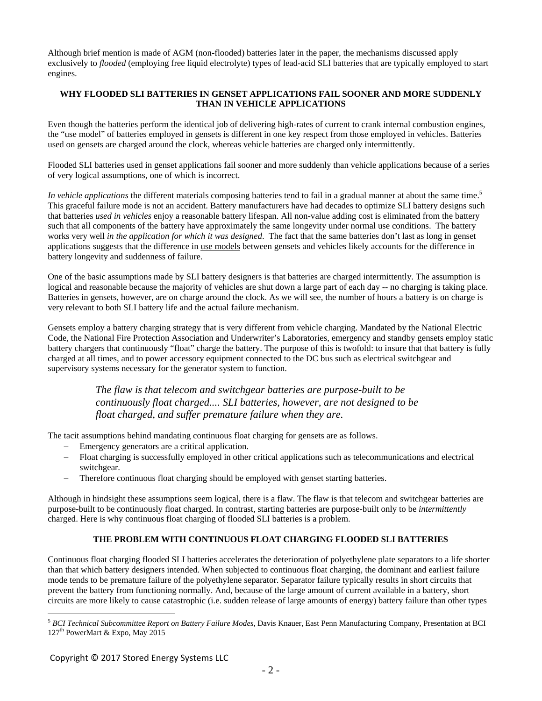Although brief mention is made of AGM (non-flooded) batteries later in the paper, the mechanisms discussed apply exclusively to *flooded* (employing free liquid electrolyte) types of lead-acid SLI batteries that are typically employed to start engines.

## **WHY FLOODED SLI BATTERIES IN GENSET APPLICATIONS FAIL SOONER AND MORE SUDDENLY THAN IN VEHICLE APPLICATIONS**

Even though the batteries perform the identical job of delivering high-rates of current to crank internal combustion engines, the "use model" of batteries employed in gensets is different in one key respect from those employed in vehicles. Batteries used on gensets are charged around the clock, whereas vehicle batteries are charged only intermittently.

Flooded SLI batteries used in genset applications fail sooner and more suddenly than vehicle applications because of a series of very logical assumptions, one of which is incorrect.

*In vehicle applications* the different materials composing batteries tend to fail in a gradual manner at about the same time.<sup>5</sup> This graceful failure mode is not an accident. Battery manufacturers have had decades to optimize SLI battery designs such that batteries *used in vehicles* enjoy a reasonable battery lifespan. All non-value adding cost is eliminated from the battery such that all components of the battery have approximately the same longevity under normal use conditions. The battery works very well *in the application for which it was designed*. The fact that the same batteries don't last as long in genset applications suggests that the difference in use models between gensets and vehicles likely accounts for the difference in battery longevity and suddenness of failure.

One of the basic assumptions made by SLI battery designers is that batteries are charged intermittently. The assumption is logical and reasonable because the majority of vehicles are shut down a large part of each day -- no charging is taking place. Batteries in gensets, however, are on charge around the clock. As we will see, the number of hours a battery is on charge is very relevant to both SLI battery life and the actual failure mechanism.

Gensets employ a battery charging strategy that is very different from vehicle charging. Mandated by the National Electric Code, the National Fire Protection Association and Underwriter's Laboratories, emergency and standby gensets employ static battery chargers that continuously "float" charge the battery. The purpose of this is twofold: to insure that that battery is fully charged at all times, and to power accessory equipment connected to the DC bus such as electrical switchgear and supervisory systems necessary for the generator system to function.

> *The flaw is that telecom and switchgear batteries are purpose-built to be continuously float charged.... SLI batteries, however, are not designed to be float charged, and suffer premature failure when they are.*

The tacit assumptions behind mandating continuous float charging for gensets are as follows.

- Emergency generators are a critical application.
- Float charging is successfully employed in other critical applications such as telecommunications and electrical switchgear.
- Therefore continuous float charging should be employed with genset starting batteries.

Although in hindsight these assumptions seem logical, there is a flaw. The flaw is that telecom and switchgear batteries are purpose-built to be continuously float charged. In contrast, starting batteries are purpose-built only to be *intermittently* charged. Here is why continuous float charging of flooded SLI batteries is a problem.

# **THE PROBLEM WITH CONTINUOUS FLOAT CHARGING FLOODED SLI BATTERIES**

Continuous float charging flooded SLI batteries accelerates the deterioration of polyethylene plate separators to a life shorter than that which battery designers intended. When subjected to continuous float charging, the dominant and earliest failure mode tends to be premature failure of the polyethylene separator. Separator failure typically results in short circuits that prevent the battery from functioning normally. And, because of the large amount of current available in a battery, short circuits are more likely to cause catastrophic (i.e. sudden release of large amounts of energy) battery failure than other types

<sup>5</sup> *BCI Technical Subcommittee Report on Battery Failure Modes*, Davis Knauer, East Penn Manufacturing Company, Presentation at BCI 127<sup>th</sup> PowerMart & Expo, May 2015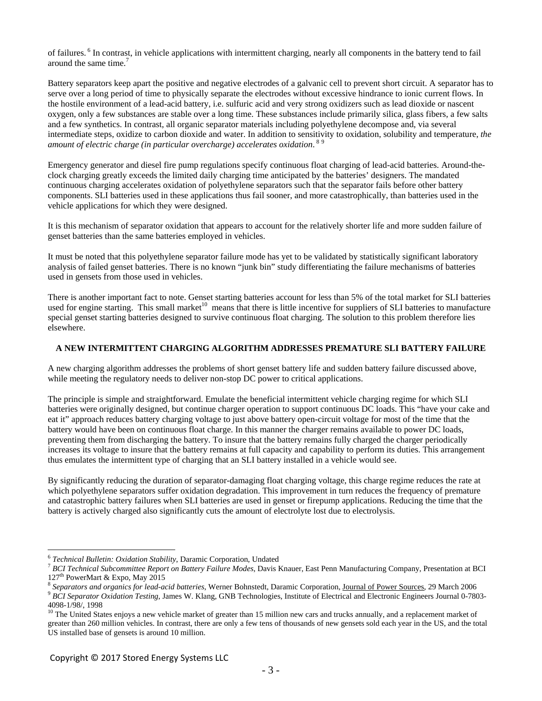of failures. 6 In contrast, in vehicle applications with intermittent charging, nearly all components in the battery tend to fail around the same time.<sup>7</sup>

Battery separators keep apart the positive and negative electrodes of a galvanic cell to prevent short circuit. A separator has to serve over a long period of time to physically separate the electrodes without excessive hindrance to ionic current flows. In the hostile environment of a lead-acid battery, i.e. sulfuric acid and very strong oxidizers such as lead dioxide or nascent oxygen, only a few substances are stable over a long time. These substances include primarily silica, glass fibers, a few salts and a few synthetics. In contrast, all organic separator materials including polyethylene decompose and, via several intermediate steps, oxidize to carbon dioxide and water. In addition to sensitivity to oxidation, solubility and temperature, *the*  amount of electric charge (in particular overcharge) accelerates oxidation. <sup>89</sup>

Emergency generator and diesel fire pump regulations specify continuous float charging of lead-acid batteries. Around-theclock charging greatly exceeds the limited daily charging time anticipated by the batteries' designers. The mandated continuous charging accelerates oxidation of polyethylene separators such that the separator fails before other battery components. SLI batteries used in these applications thus fail sooner, and more catastrophically, than batteries used in the vehicle applications for which they were designed.

It is this mechanism of separator oxidation that appears to account for the relatively shorter life and more sudden failure of genset batteries than the same batteries employed in vehicles.

It must be noted that this polyethylene separator failure mode has yet to be validated by statistically significant laboratory analysis of failed genset batteries. There is no known "junk bin" study differentiating the failure mechanisms of batteries used in gensets from those used in vehicles.

There is another important fact to note. Genset starting batteries account for less than 5% of the total market for SLI batteries used for engine starting. This small market<sup>10</sup> means that there is little incentive for suppliers of SLI batteries to manufacture special genset starting batteries designed to survive continuous float charging. The solution to this problem therefore lies elsewhere.

## **A NEW INTERMITTENT CHARGING ALGORITHM ADDRESSES PREMATURE SLI BATTERY FAILURE**

A new charging algorithm addresses the problems of short genset battery life and sudden battery failure discussed above, while meeting the regulatory needs to deliver non-stop DC power to critical applications.

The principle is simple and straightforward. Emulate the beneficial intermittent vehicle charging regime for which SLI batteries were originally designed, but continue charger operation to support continuous DC loads. This "have your cake and eat it" approach reduces battery charging voltage to just above battery open-circuit voltage for most of the time that the battery would have been on continuous float charge. In this manner the charger remains available to power DC loads, preventing them from discharging the battery. To insure that the battery remains fully charged the charger periodically increases its voltage to insure that the battery remains at full capacity and capability to perform its duties. This arrangement thus emulates the intermittent type of charging that an SLI battery installed in a vehicle would see.

By significantly reducing the duration of separator-damaging float charging voltage, this charge regime reduces the rate at which polyethylene separators suffer oxidation degradation. This improvement in turn reduces the frequency of premature and catastrophic battery failures when SLI batteries are used in genset or firepump applications. Reducing the time that the battery is actively charged also significantly cuts the amount of electrolyte lost due to electrolysis.

<sup>6</sup> *Technical Bulletin: Oxidation Stability*, Daramic Corporation, Undated 7 *BCI Technical Subcommittee Report on Battery Failure Modes*, Davis Knauer, East Penn Manufacturing Company, Presentation at BCI  $127<sup>th</sup>$  PowerMart & Expo, May 2015<br><sup>8</sup> Separators and organics for lead-acid batteries, Werner Bohnstedt, Daramic Corporation, Journal of Power Sources, 29 March 2006

<sup>&</sup>lt;sup>9</sup> BCI Separator Oxidation Testing, James W. Klang, GNB Technologies, Institute of Electrical and Electronic Engineers Journal 0-7803-4098-1/98/, 1998

<sup>&</sup>lt;sup>10</sup> The United States enjoys a new vehicle market of greater than 15 million new cars and trucks annually, and a replacement market of greater than 260 million vehicles. In contrast, there are only a few tens of thousands of new gensets sold each year in the US, and the total US installed base of gensets is around 10 million.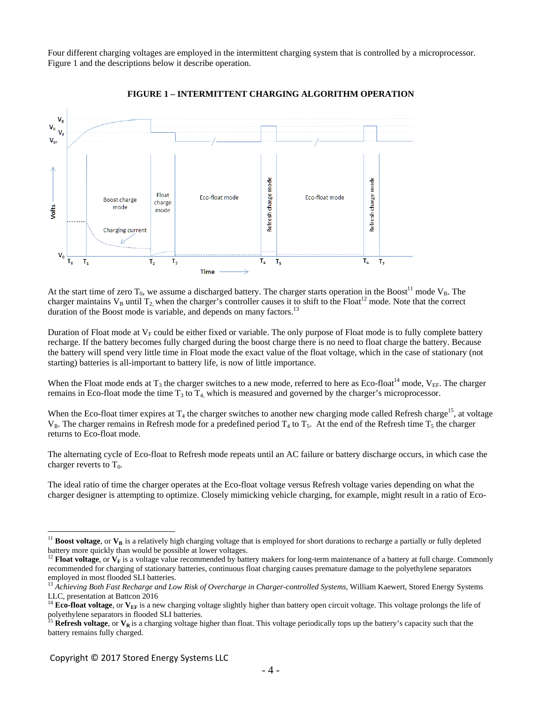Four different charging voltages are employed in the intermittent charging system that is controlled by a microprocessor. Figure 1 and the descriptions below it describe operation.



**FIGURE 1 – INTERMITTENT CHARGING ALGORITHM OPERATION** 

At the start time of zero  $T_0$ , we assume a discharged battery. The charger starts operation in the Boost<sup>11</sup> mode  $V_B$ . The charger maintains  $V_B$  until  $T_2$ , when the charger's controller causes it to shift to the Float<sup>12</sup> mode. Note that the correct duration of the Boost mode is variable, and depends on many factors.<sup>13</sup>

Duration of Float mode at  $V_F$  could be either fixed or variable. The only purpose of Float mode is to fully complete battery recharge. If the battery becomes fully charged during the boost charge there is no need to float charge the battery. Because the battery will spend very little time in Float mode the exact value of the float voltage, which in the case of stationary (not starting) batteries is all-important to battery life, is now of little importance.

When the Float mode ends at  $T_3$  the charger switches to a new mode, referred to here as Eco-float<sup>14</sup> mode,  $V_{EF}$ . The charger remains in Eco-float mode the time  $T_3$  to  $T_4$ , which is measured and governed by the charger's microprocessor.

When the Eco-float timer expires at  $T_4$  the charger switches to another new charging mode called Refresh charge<sup>15</sup>, at voltage  $V_R$ . The charger remains in Refresh mode for a predefined period  $T_4$  to  $T_5$ . At the end of the Refresh time  $T_5$  the charger returns to Eco-float mode.

The alternating cycle of Eco-float to Refresh mode repeats until an AC failure or battery discharge occurs, in which case the charger reverts to  $T_0$ .

The ideal ratio of time the charger operates at the Eco-float voltage versus Refresh voltage varies depending on what the charger designer is attempting to optimize. Closely mimicking vehicle charging, for example, might result in a ratio of Eco-

<sup>&</sup>lt;sup>11</sup> **Boost voltage**, or  $V_B$  is a relatively high charging voltage that is employed for short durations to recharge a partially or fully depleted battery more quickly than would be possible at lower voltages.

<sup>&</sup>lt;sup>12</sup> Float voltage, or V<sub>F</sub> is a voltage value recommended by battery makers for long-term maintenance of a battery at full charge. Commonly recommended for charging of stationary batteries, continuous float charging causes premature damage to the polyethylene separators employed in most flooded SLI batteries.

<sup>&</sup>lt;sup>13</sup> Achieving Both Fast Recharge and Low Risk of Overcharge in Charger-controlled Systems, William Kaewert, Stored Energy Systems LLC, presentation at Battcon 2016

<sup>&</sup>lt;sup>14</sup> **Eco-float voltage**, or  $V_{EF}$  is a new charging voltage slightly higher than battery open circuit voltage. This voltage prolongs the life of polyethylene separators in flooded SLI batteries.

<sup>&</sup>lt;sup>15</sup> Refresh voltage, or  $V_R$  is a charging voltage higher than float. This voltage periodically tops up the battery's capacity such that the battery remains fully charged.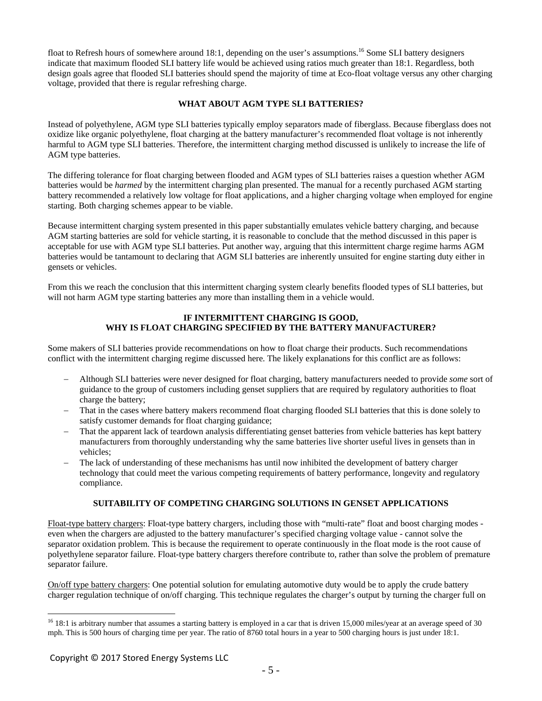float to Refresh hours of somewhere around 18:1, depending on the user's assumptions.<sup>16</sup> Some SLI battery designers indicate that maximum flooded SLI battery life would be achieved using ratios much greater than 18:1. Regardless, both design goals agree that flooded SLI batteries should spend the majority of time at Eco-float voltage versus any other charging voltage, provided that there is regular refreshing charge.

## **WHAT ABOUT AGM TYPE SLI BATTERIES?**

Instead of polyethylene, AGM type SLI batteries typically employ separators made of fiberglass. Because fiberglass does not oxidize like organic polyethylene, float charging at the battery manufacturer's recommended float voltage is not inherently harmful to AGM type SLI batteries. Therefore, the intermittent charging method discussed is unlikely to increase the life of AGM type batteries.

The differing tolerance for float charging between flooded and AGM types of SLI batteries raises a question whether AGM batteries would be *harmed* by the intermittent charging plan presented. The manual for a recently purchased AGM starting battery recommended a relatively low voltage for float applications, and a higher charging voltage when employed for engine starting. Both charging schemes appear to be viable.

Because intermittent charging system presented in this paper substantially emulates vehicle battery charging, and because AGM starting batteries are sold for vehicle starting, it is reasonable to conclude that the method discussed in this paper is acceptable for use with AGM type SLI batteries. Put another way, arguing that this intermittent charge regime harms AGM batteries would be tantamount to declaring that AGM SLI batteries are inherently unsuited for engine starting duty either in gensets or vehicles.

From this we reach the conclusion that this intermittent charging system clearly benefits flooded types of SLI batteries, but will not harm AGM type starting batteries any more than installing them in a vehicle would.

#### **IF INTERMITTENT CHARGING IS GOOD, WHY IS FLOAT CHARGING SPECIFIED BY THE BATTERY MANUFACTURER?**

Some makers of SLI batteries provide recommendations on how to float charge their products. Such recommendations conflict with the intermittent charging regime discussed here. The likely explanations for this conflict are as follows:

- Although SLI batteries were never designed for float charging, battery manufacturers needed to provide *some* sort of guidance to the group of customers including genset suppliers that are required by regulatory authorities to float charge the battery;
- That in the cases where battery makers recommend float charging flooded SLI batteries that this is done solely to satisfy customer demands for float charging guidance;
- That the apparent lack of teardown analysis differentiating genset batteries from vehicle batteries has kept battery manufacturers from thoroughly understanding why the same batteries live shorter useful lives in gensets than in vehicles;
- The lack of understanding of these mechanisms has until now inhibited the development of battery charger technology that could meet the various competing requirements of battery performance, longevity and regulatory compliance.

## **SUITABILITY OF COMPETING CHARGING SOLUTIONS IN GENSET APPLICATIONS**

Float-type battery chargers: Float-type battery chargers, including those with "multi-rate" float and boost charging modes even when the chargers are adjusted to the battery manufacturer's specified charging voltage value - cannot solve the separator oxidation problem. This is because the requirement to operate continuously in the float mode is the root cause of polyethylene separator failure. Float-type battery chargers therefore contribute to, rather than solve the problem of premature separator failure.

On/off type battery chargers: One potential solution for emulating automotive duty would be to apply the crude battery charger regulation technique of on/off charging. This technique regulates the charger's output by turning the charger full on

 $^{16}$  18:1 is arbitrary number that assumes a starting battery is employed in a car that is driven 15,000 miles/year at an average speed of 30 mph. This is 500 hours of charging time per year. The ratio of 8760 total hours in a year to 500 charging hours is just under 18:1.